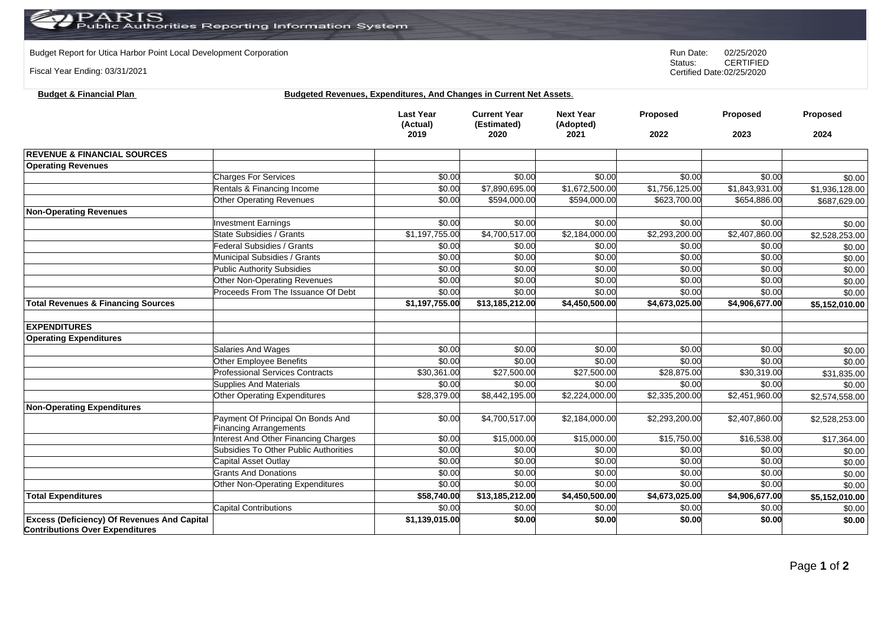## $\operatorname{PARIS}_{\text{Public Authorities Reporting Information System}}$

Budget Report for Utica Harbor Point Local Development Corporation **Run Date:** 02/25/2020<br>Status: CERTIFIED

Fiscal Year Ending: 03/31/2021

**Budget & Financial Plan** 

CERTIFIED Certified Date:02/25/2020

| <b>Budgeted Revenues, Expenditures, And Changes in Current Net Assets.</b> |
|----------------------------------------------------------------------------|
|----------------------------------------------------------------------------|

|                                                                                              |                                                                       | <b>Last Year</b><br>(Actual)<br>2019 | <b>Current Year</b><br>(Estimated)<br>2020 | <b>Next Year</b><br>(Adopted)<br>2021 | Proposed<br>2022 | Proposed<br>2023 | Proposed<br>2024 |
|----------------------------------------------------------------------------------------------|-----------------------------------------------------------------------|--------------------------------------|--------------------------------------------|---------------------------------------|------------------|------------------|------------------|
| <b>REVENUE &amp; FINANCIAL SOURCES</b>                                                       |                                                                       |                                      |                                            |                                       |                  |                  |                  |
| <b>Operating Revenues</b>                                                                    |                                                                       |                                      |                                            |                                       |                  |                  |                  |
|                                                                                              | <b>Charges For Services</b>                                           | \$0.00                               | \$0.00                                     | \$0.00                                | \$0.00           | \$0.00           | \$0.00           |
|                                                                                              | Rentals & Financing Income                                            | \$0.00                               | \$7,890,695.00                             | \$1,672,500.00                        | \$1,756,125.00   | \$1,843,931.00   | \$1,936,128.00   |
|                                                                                              | <b>Other Operating Revenues</b>                                       | \$0.00                               | \$594,000.00                               | \$594,000.00                          | \$623,700.00     | \$654,886.00     | \$687,629.00     |
| <b>Non-Operating Revenues</b>                                                                |                                                                       |                                      |                                            |                                       |                  |                  |                  |
|                                                                                              | <b>Investment Earnings</b>                                            | \$0.00                               | \$0.00                                     | \$0.00                                | \$0.00           | \$0.00           | \$0.00           |
|                                                                                              | State Subsidies / Grants                                              | \$1,197,755.00                       | \$4,700,517.00                             | \$2,184,000.00                        | \$2,293,200.00   | \$2,407,860.00   | \$2,528,253.00   |
|                                                                                              | <b>Federal Subsidies / Grants</b>                                     | \$0.00                               | \$0.00                                     | \$0.00                                | \$0.00           | \$0.00           | \$0.00           |
|                                                                                              | Municipal Subsidies / Grants                                          | \$0.00                               | \$0.00                                     | \$0.00                                | \$0.00           | \$0.00           | \$0.00           |
|                                                                                              | <b>Public Authority Subsidies</b>                                     | \$0.00                               | \$0.00                                     | \$0.00                                | \$0.00           | \$0.00           | \$0.00           |
|                                                                                              | Other Non-Operating Revenues                                          | \$0.00                               | \$0.00                                     | \$0.00                                | \$0.00           | \$0.00           | \$0.00           |
|                                                                                              | Proceeds From The Issuance Of Debt                                    | \$0.00                               | \$0.00                                     | \$0.00                                | \$0.00           | \$0.00           | \$0.00           |
| <b>Total Revenues &amp; Financing Sources</b>                                                |                                                                       | \$1,197,755.00                       | \$13,185,212.00                            | \$4,450,500.00                        | \$4,673,025.00   | \$4,906,677.00   | \$5,152,010.00   |
| <b>EXPENDITURES</b>                                                                          |                                                                       |                                      |                                            |                                       |                  |                  |                  |
| <b>Operating Expenditures</b>                                                                |                                                                       |                                      |                                            |                                       |                  |                  |                  |
|                                                                                              | Salaries And Wages                                                    | \$0.00                               | \$0.00                                     | \$0.00                                | \$0.00           | \$0.00           | \$0.00           |
|                                                                                              | Other Employee Benefits                                               | \$0.00                               | \$0.00                                     | \$0.00                                | \$0.00           | \$0.00           | \$0.00           |
|                                                                                              | <b>Professional Services Contracts</b>                                | \$30,361.00                          | $\overline{$27,500.00}$                    | \$27,500.00                           | \$28,875.00      | \$30,319.00      | \$31,835.00      |
|                                                                                              | <b>Supplies And Materials</b>                                         | \$0.00                               | \$0.00                                     | \$0.00                                | \$0.00           | \$0.00           | \$0.00           |
|                                                                                              | Other Operating Expenditures                                          | \$28,379.00                          | \$8,442,195.00                             | \$2,224,000.00                        | \$2,335,200.00   | \$2,451,960.00   | \$2,574,558.00   |
| <b>Non-Operating Expenditures</b>                                                            |                                                                       |                                      |                                            |                                       |                  |                  |                  |
|                                                                                              | Payment Of Principal On Bonds And                                     | \$0.00                               | \$4,700,517.00                             | \$2,184,000.00                        | \$2,293,200.00   | \$2,407,860.00   | \$2,528,253.00   |
|                                                                                              | <b>Financing Arrangements</b><br>Interest And Other Financing Charges | \$0.00                               | \$15,000.00                                | \$15,000.00                           | \$15,750.00      | \$16,538.00      | \$17,364.00      |
|                                                                                              | Subsidies To Other Public Authorities                                 | \$0.00                               | \$0.00                                     | \$0.00                                | \$0.00           | \$0.00           | \$0.00           |
|                                                                                              | Capital Asset Outlay                                                  | \$0.00                               | \$0.00                                     | \$0.00                                | \$0.00           | \$0.00           |                  |
|                                                                                              | <b>Grants And Donations</b>                                           | \$0.00                               | \$0.00                                     | \$0.00                                | \$0.00           | \$0.00           | \$0.00<br>\$0.00 |
|                                                                                              | Other Non-Operating Expenditures                                      | \$0.00                               | \$0.00                                     | \$0.00                                | \$0.00           | \$0.00           | \$0.00           |
| <b>Total Expenditures</b>                                                                    |                                                                       | \$58,740.00                          | \$13,185,212.00                            | \$4,450,500.00                        | \$4,673,025.00   | \$4,906,677.00   | \$5,152,010.00   |
|                                                                                              | <b>Capital Contributions</b>                                          | \$0.00                               | \$0.00                                     | \$0.00                                | \$0.00           | \$0.00           |                  |
| <b>Excess (Deficiency) Of Revenues And Capital</b><br><b>Contributions Over Expenditures</b> |                                                                       | \$1,139,015.00                       | \$0.00                                     | \$0.00                                | \$0.00           | \$0.00           | \$0.00<br>\$0.00 |